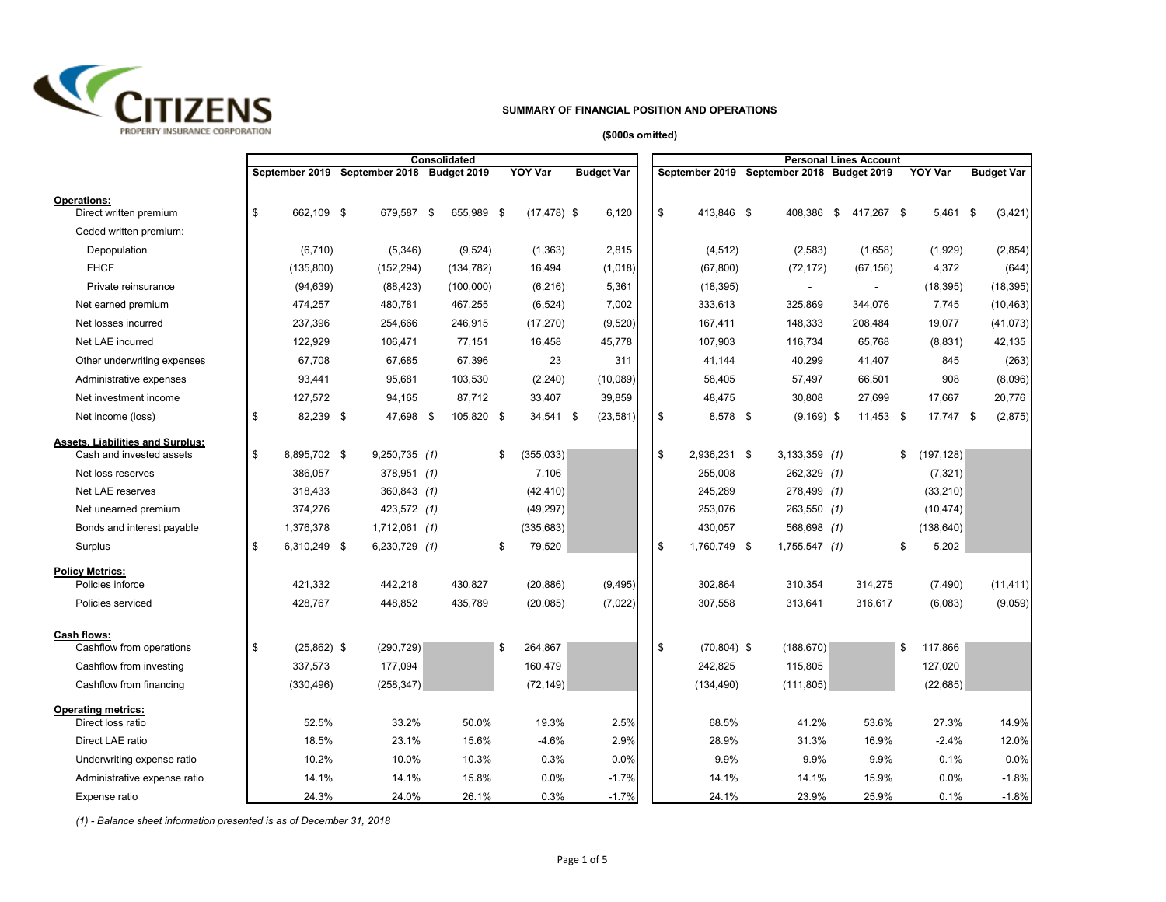

## **SUMMARY OF FINANCIAL POSITION AND OPERATIONS**

**(\$000s omitted)**

|                                                              |                     |                                           | Consolidated |                  |                   |    |                                           |                 | <b>Personal Lines Account</b> |                  |                   |
|--------------------------------------------------------------|---------------------|-------------------------------------------|--------------|------------------|-------------------|----|-------------------------------------------|-----------------|-------------------------------|------------------|-------------------|
|                                                              |                     | September 2019 September 2018 Budget 2019 |              | <b>YOY Var</b>   | <b>Budget Var</b> |    | September 2019 September 2018 Budget 2019 |                 |                               | <b>YOY Var</b>   | <b>Budget Var</b> |
| <b>Operations:</b><br>Direct written premium                 | \$<br>662.109 \$    | 679,587 \$                                | 655,989 \$   | $(17, 478)$ \$   | 6,120             | \$ | 413.846 \$                                | 408.386         | \$<br>417,267 \$              | 5,461 \$         | (3, 421)          |
| Ceded written premium:                                       |                     |                                           |              |                  |                   |    |                                           |                 |                               |                  |                   |
| Depopulation                                                 | (6, 710)            | (5,346)                                   | (9,524)      | (1, 363)         | 2,815             |    | (4, 512)                                  | (2, 583)        | (1,658)                       | (1,929)          | (2, 854)          |
| <b>FHCF</b>                                                  | (135, 800)          | (152, 294)                                | (134, 782)   | 16,494           | (1,018)           |    | (67, 800)                                 | (72, 172)       | (67, 156)                     | 4,372            | (644)             |
| Private reinsurance                                          | (94, 639)           | (88, 423)                                 | (100,000)    | (6, 216)         | 5,361             |    | (18, 395)                                 |                 | $\blacksquare$                | (18, 395)        | (18, 395)         |
| Net earned premium                                           | 474,257             | 480,781                                   | 467,255      | (6, 524)         | 7,002             |    | 333,613                                   | 325,869         | 344,076                       | 7,745            | (10, 463)         |
| Net losses incurred                                          | 237,396             | 254,666                                   | 246,915      | (17, 270)        | (9, 520)          |    | 167,411                                   | 148,333         | 208,484                       | 19,077           | (41, 073)         |
| Net LAE incurred                                             | 122,929             | 106,471                                   | 77,151       | 16,458           | 45,778            |    | 107,903                                   | 116,734         | 65,768                        | (8,831)          | 42,135            |
| Other underwriting expenses                                  | 67.708              | 67,685                                    | 67,396       | 23               | 311               |    | 41.144                                    | 40,299          | 41,407                        | 845              | (263)             |
| Administrative expenses                                      | 93,441              | 95,681                                    | 103,530      | (2, 240)         | (10,089)          |    | 58,405                                    | 57,497          | 66,501                        | 908              | (8,096)           |
| Net investment income                                        | 127,572             | 94,165                                    | 87,712       | 33,407           | 39,859            |    | 48,475                                    | 30,808          | 27,699                        | 17,667           | 20,776            |
| Net income (loss)                                            | \$<br>82,239 \$     | 47,698 \$                                 | 105,820 \$   | 34,541 \$        | (23, 581)         | \$ | 8,578 \$                                  | $(9,169)$ \$    | 11,453 \$                     | 17,747 \$        | (2,875)           |
| Assets, Liabilities and Surplus:<br>Cash and invested assets | \$<br>8,895,702 \$  | 9,250,735 (1)                             |              | \$<br>(355, 033) |                   | \$ | 2,936,231 \$                              | $3,133,359$ (1) |                               | \$<br>(197, 128) |                   |
| Net loss reserves                                            | 386,057             | 378,951 (1)                               |              | 7,106            |                   |    | 255,008                                   | 262,329 (1)     |                               | (7, 321)         |                   |
| Net LAE reserves                                             | 318,433             | 360,843 (1)                               |              | (42, 410)        |                   |    | 245,289                                   | 278,499 (1)     |                               | (33, 210)        |                   |
| Net unearned premium                                         | 374,276             | 423,572 (1)                               |              | (49, 297)        |                   |    | 253,076                                   | 263,550 (1)     |                               | (10, 474)        |                   |
| Bonds and interest payable                                   | 1,376,378           | $1,712,061$ (1)                           |              | (335, 683)       |                   |    | 430,057                                   | 568,698 (1)     |                               | (138, 640)       |                   |
| Surplus                                                      | \$<br>6,310,249 \$  | 6,230,729 (1)                             |              | \$<br>79,520     |                   | \$ | 1,760,749 \$                              | $1,755,547$ (1) |                               | \$<br>5,202      |                   |
| <b>Policy Metrics:</b>                                       |                     |                                           |              |                  |                   |    |                                           |                 |                               |                  |                   |
| Policies inforce                                             | 421,332             | 442,218                                   | 430,827      | (20, 886)        | (9, 495)          |    | 302,864                                   | 310,354         | 314,275                       | (7, 490)         | (11, 411)         |
| Policies serviced                                            | 428,767             | 448,852                                   | 435,789      | (20, 085)        | (7,022)           |    | 307,558                                   | 313,641         | 316,617                       | (6,083)          | (9,059)           |
| Cash flows:                                                  |                     |                                           |              |                  |                   |    |                                           |                 |                               |                  |                   |
| Cashflow from operations                                     | \$<br>$(25,862)$ \$ | (290, 729)                                |              | \$<br>264,867    |                   | \$ | $(70, 804)$ \$                            | (188, 670)      |                               | \$<br>117,866    |                   |
| Cashflow from investing                                      | 337,573             | 177,094                                   |              | 160,479          |                   |    | 242,825                                   | 115,805         |                               | 127,020          |                   |
| Cashflow from financing                                      | (330, 496)          | (258, 347)                                |              | (72, 149)        |                   |    | (134, 490)                                | (111, 805)      |                               | (22, 685)        |                   |
| <b>Operating metrics:</b><br>Direct loss ratio               | 52.5%               | 33.2%                                     | 50.0%        | 19.3%            | 2.5%              |    | 68.5%                                     | 41.2%           | 53.6%                         | 27.3%            | 14.9%             |
| Direct LAE ratio                                             | 18.5%               | 23.1%                                     | 15.6%        | $-4.6%$          | 2.9%              |    | 28.9%                                     | 31.3%           | 16.9%                         | $-2.4%$          | 12.0%             |
| Underwriting expense ratio                                   | 10.2%               | 10.0%                                     | 10.3%        | 0.3%             | 0.0%              |    | 9.9%                                      | 9.9%            | 9.9%                          | 0.1%             | 0.0%              |
| Administrative expense ratio                                 | 14.1%               | 14.1%                                     | 15.8%        | 0.0%             | $-1.7%$           |    | 14.1%                                     | 14.1%           | 15.9%                         | 0.0%             | $-1.8%$           |
| Expense ratio                                                | 24.3%               | 24.0%                                     | 26.1%        | 0.3%             | $-1.7%$           |    | 24.1%                                     | 23.9%           | 25.9%                         | 0.1%             | $-1.8%$           |

*(1) - Balance sheet information presented is as of December 31, 2018*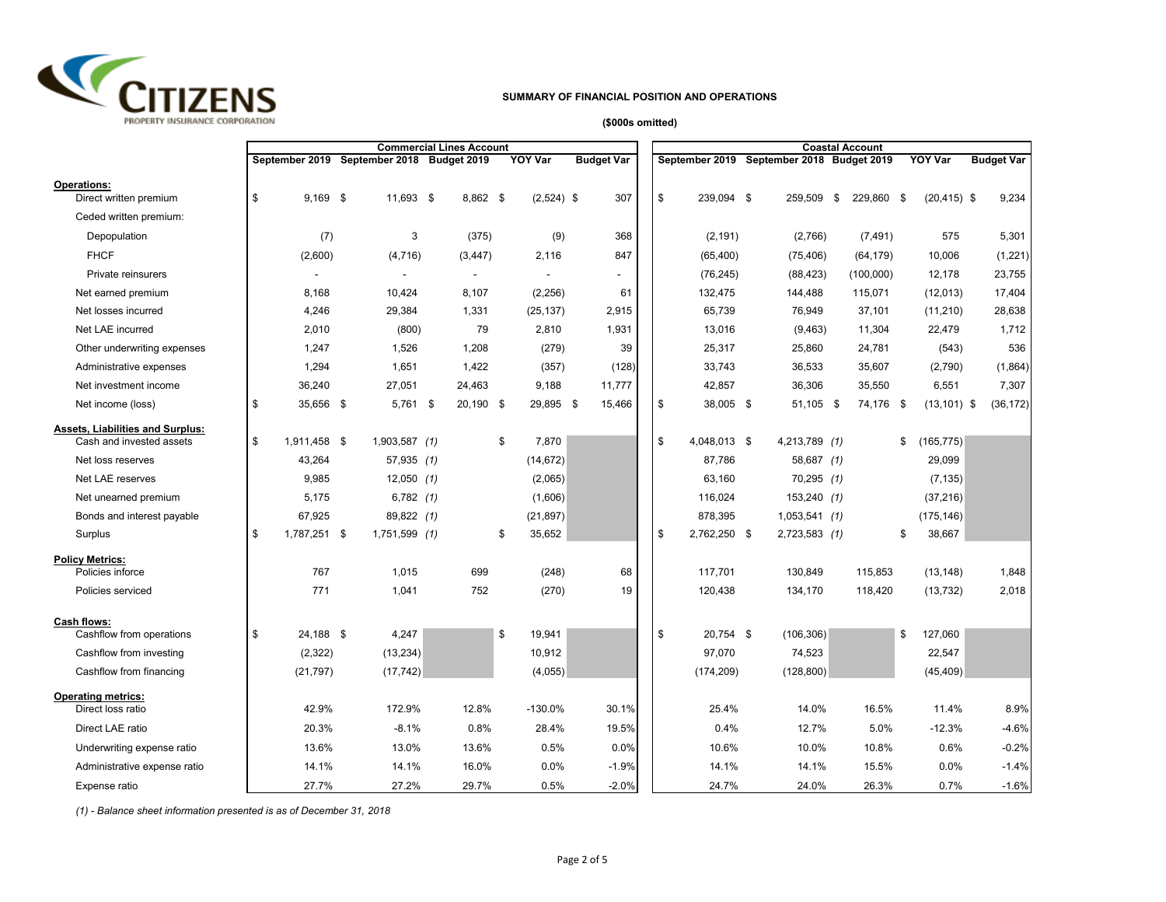

### **SUMMARY OF FINANCIAL POSITION AND OPERATIONS**

### **(\$000s omitted)**

|                                                                     |                    |                                           | <b>Commercial Lines Account</b> |                |                   |    |              |                                           | <b>Coastal Account</b> |      |                |                   |
|---------------------------------------------------------------------|--------------------|-------------------------------------------|---------------------------------|----------------|-------------------|----|--------------|-------------------------------------------|------------------------|------|----------------|-------------------|
|                                                                     |                    | September 2019 September 2018 Budget 2019 |                                 | <b>YOY Var</b> | <b>Budget Var</b> |    |              | September 2019 September 2018 Budget 2019 |                        |      | <b>YOY Var</b> | <b>Budget Var</b> |
| <b>Operations:</b><br>Direct written premium                        | \$<br>$9,169$ \$   | 11,693 \$                                 | 8,862 \$                        | $(2,524)$ \$   | 307               | \$ | 239,094 \$   | 259,509                                   | \$<br>229,860          | - \$ | $(20, 415)$ \$ | 9,234             |
| Ceded written premium:                                              |                    |                                           |                                 |                |                   |    |              |                                           |                        |      |                |                   |
| Depopulation                                                        | (7)                | 3                                         | (375)                           | (9)            | 368               |    | (2, 191)     | (2,766)                                   | (7, 491)               |      | 575            | 5,301             |
| <b>FHCF</b>                                                         | (2,600)            | (4, 716)                                  | (3, 447)                        | 2,116          | 847               |    | (65, 400)    | (75, 406)                                 | (64, 179)              |      | 10,006         | (1,221)           |
| Private reinsurers                                                  |                    |                                           |                                 |                |                   |    | (76, 245)    | (88, 423)                                 | (100,000)              |      | 12,178         | 23,755            |
| Net earned premium                                                  | 8,168              | 10,424                                    | 8,107                           | (2,256)        | 61                |    | 132,475      | 144,488                                   | 115,071                |      | (12,013)       | 17,404            |
| Net losses incurred                                                 | 4,246              | 29,384                                    | 1,331                           | (25, 137)      | 2,915             |    | 65,739       | 76,949                                    | 37,101                 |      | (11, 210)      | 28,638            |
| Net LAE incurred                                                    | 2,010              | (800)                                     | 79                              | 2,810          | 1,931             |    | 13,016       | (9,463)                                   | 11,304                 |      | 22,479         | 1,712             |
| Other underwriting expenses                                         | 1,247              | 1,526                                     | 1,208                           | (279)          | 39                |    | 25,317       | 25,860                                    | 24,781                 |      | (543)          | 536               |
| Administrative expenses                                             | 1,294              | 1,651                                     | 1,422                           | (357)          | (128)             |    | 33,743       | 36,533                                    | 35,607                 |      | (2,790)        | (1,864)           |
| Net investment income                                               | 36,240             | 27,051                                    | 24,463                          | 9,188          | 11,777            |    | 42,857       | 36,306                                    | 35,550                 |      | 6,551          | 7,307             |
| Net income (loss)                                                   | \$<br>35,656 \$    | $5,761$ \$                                | 20,190 \$                       | 29,895 \$      | 15,466            | \$ | 38,005 \$    | 51,105 \$                                 | 74,176 \$              |      | $(13, 101)$ \$ | (36, 172)         |
| <b>Assets, Liabilities and Surplus:</b><br>Cash and invested assets | \$<br>1,911,458 \$ | $1,903,587$ (1)                           |                                 | \$<br>7,870    |                   | \$ | 4,048,013 \$ | 4,213,789 (1)                             |                        | \$   | (165, 775)     |                   |
| Net loss reserves                                                   | 43,264             | $57,935$ (1)                              |                                 | (14,672)       |                   |    | 87,786       | 58,687 (1)                                |                        |      | 29,099         |                   |
| Net LAE reserves                                                    | 9,985              | $12,050$ (1)                              |                                 | (2,065)        |                   |    | 63,160       | $70,295$ (1)                              |                        |      | (7, 135)       |                   |
| Net unearned premium                                                | 5,175              | $6,782$ (1)                               |                                 | (1,606)        |                   |    | 116,024      | 153,240(1)                                |                        |      | (37, 216)      |                   |
| Bonds and interest payable                                          | 67,925             | 89,822 (1)                                |                                 | (21, 897)      |                   |    | 878,395      | $1,053,541$ (1)                           |                        |      | (175, 146)     |                   |
| Surplus                                                             | \$<br>1,787,251 \$ | 1,751,599 (1)                             |                                 | \$<br>35,652   |                   | \$ | 2,762,250 \$ | 2,723,583 (1)                             |                        | \$   | 38,667         |                   |
| <b>Policy Metrics:</b>                                              |                    |                                           |                                 |                |                   |    |              |                                           |                        |      |                |                   |
| Policies inforce                                                    | 767                | 1,015                                     | 699                             | (248)          | 68                |    | 117,701      | 130,849                                   | 115,853                |      | (13, 148)      | 1,848             |
| Policies serviced                                                   | 771                | 1,041                                     | 752                             | (270)          | 19                |    | 120,438      | 134,170                                   | 118,420                |      | (13, 732)      | 2,018             |
| Cash flows:<br>Cashflow from operations                             | \$<br>24,188 \$    | 4,247                                     |                                 | \$<br>19,941   |                   | \$ | 20,754 \$    | (106, 306)                                |                        | \$   | 127,060        |                   |
| Cashflow from investing                                             | (2, 322)           | (13, 234)                                 |                                 | 10,912         |                   |    | 97,070       | 74,523                                    |                        |      | 22,547         |                   |
| Cashflow from financing                                             | (21, 797)          | (17, 742)                                 |                                 | (4,055)        |                   |    | (174, 209)   | (128, 800)                                |                        |      | (45, 409)      |                   |
|                                                                     |                    |                                           |                                 |                |                   |    |              |                                           |                        |      |                |                   |
| <b>Operating metrics:</b><br>Direct loss ratio                      | 42.9%              | 172.9%                                    | 12.8%                           | -130.0%        | 30.1%             |    | 25.4%        | 14.0%                                     | 16.5%                  |      | 11.4%          | 8.9%              |
| Direct LAE ratio                                                    | 20.3%              | $-8.1%$                                   | 0.8%                            | 28.4%          | 19.5%             |    | 0.4%         | 12.7%                                     | 5.0%                   |      | $-12.3%$       | $-4.6%$           |
| Underwriting expense ratio                                          | 13.6%              | 13.0%                                     | 13.6%                           | 0.5%           | 0.0%              |    | 10.6%        | 10.0%                                     | 10.8%                  |      | 0.6%           | $-0.2%$           |
| Administrative expense ratio                                        | 14.1%              | 14.1%                                     | 16.0%                           | 0.0%           | $-1.9%$           |    | 14.1%        | 14.1%                                     | 15.5%                  |      | 0.0%           | $-1.4%$           |
| Expense ratio                                                       | 27.7%              | 27.2%                                     | 29.7%                           | 0.5%           | $-2.0%$           |    | 24.7%        | 24.0%                                     | 26.3%                  |      | 0.7%           | $-1.6%$           |

*(1) - Balance sheet information presented is as of December 31, 2018*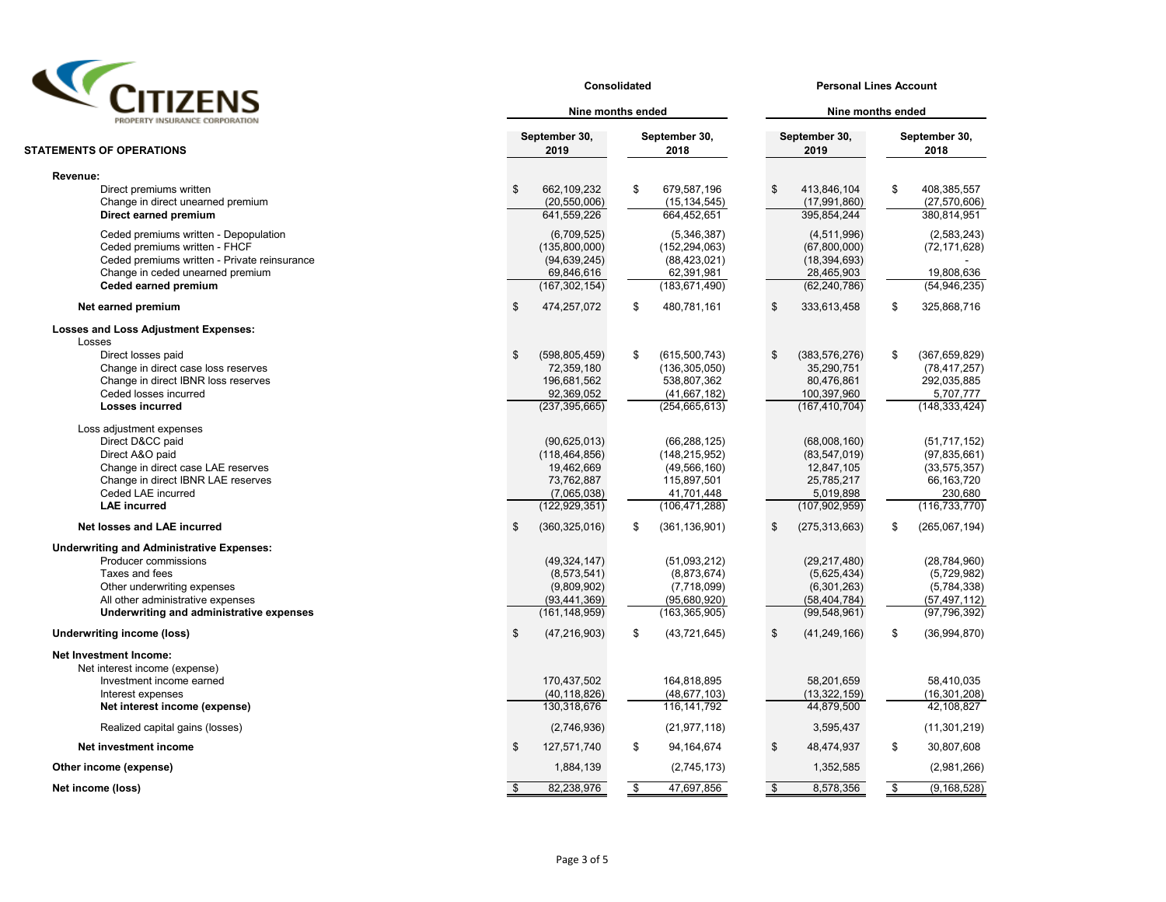

| $\boldsymbol{\mathcal{L}}$                                   |               |                                | Consolidated      | <b>Personal Lines Account</b> |                    |                              |    |                               |  |  |  |
|--------------------------------------------------------------|---------------|--------------------------------|-------------------|-------------------------------|--------------------|------------------------------|----|-------------------------------|--|--|--|
| PROPERTY INSURANCE CORPORATION                               |               | Nine months ended              | Nine months ended |                               |                    |                              |    |                               |  |  |  |
| <b>STATEMENTS OF OPERATIONS</b>                              |               | September 30,<br>2019          |                   | September 30,<br>2018         |                    | September 30,<br>2019        |    | September 30,<br>2018         |  |  |  |
| Revenue:                                                     |               |                                |                   |                               |                    |                              |    |                               |  |  |  |
| Direct premiums written<br>Change in direct unearned premium | $\mathsf{\$}$ | 662,109,232<br>(20, 550, 006)  | \$                | 679,587,196<br>(15, 134, 545) | \$                 | 413,846,104<br>(17,991,860)  | \$ | 408,385,557<br>(27, 570, 606) |  |  |  |
| Direct earned premium                                        |               | 641,559,226                    |                   | 664,452,651                   |                    | 395,854,244                  |    | 380,814,951                   |  |  |  |
| Ceded premiums written - Depopulation                        |               | (6,709,525)                    |                   | (5,346,387)                   |                    | (4,511,996)                  |    | (2,583,243)                   |  |  |  |
| Ceded premiums written - FHCF                                |               | (135,800,000)                  |                   | (152, 294, 063)               |                    | (67, 800, 000)               |    | (72, 171, 628)                |  |  |  |
| Ceded premiums written - Private reinsurance                 |               | (94, 639, 245)                 |                   | (88, 423, 021)                |                    | (18, 394, 693)               |    |                               |  |  |  |
| Change in ceded unearned premium<br>Ceded earned premium     |               | 69,846,616<br>(167, 302, 154)  |                   | 62,391,981<br>(183, 671, 490) |                    | 28,465,903<br>(62, 240, 786) |    | 19,808,636<br>(54, 946, 235)  |  |  |  |
| Net earned premium                                           | \$            | 474,257,072                    | \$                | 480,781,161                   | \$                 | 333,613,458                  | \$ | 325,868,716                   |  |  |  |
| <b>Losses and Loss Adjustment Expenses:</b>                  |               |                                |                   |                               |                    |                              |    |                               |  |  |  |
| Losses                                                       |               |                                |                   |                               |                    |                              |    |                               |  |  |  |
| Direct losses paid                                           | \$            | (598, 805, 459)                | \$                | (615,500,743)                 | \$                 | (383, 576, 276)              | \$ | (367, 659, 829)               |  |  |  |
| Change in direct case loss reserves                          |               | 72,359,180                     |                   | (136, 305, 050)               |                    | 35,290,751                   |    | (78, 417, 257)                |  |  |  |
| Change in direct IBNR loss reserves                          |               | 196,681,562                    |                   | 538,807,362                   |                    | 80,476,861                   |    | 292,035,885                   |  |  |  |
| Ceded losses incurred                                        |               | 92,369,052                     |                   | (41,667,182)                  |                    | 100,397,960                  |    | 5,707,777                     |  |  |  |
| <b>Losses incurred</b>                                       |               | (237, 395, 665)                |                   | (254, 665, 613)               |                    | (167, 410, 704)              |    | (148, 333, 424)               |  |  |  |
| Loss adjustment expenses                                     |               |                                |                   |                               |                    |                              |    |                               |  |  |  |
| Direct D&CC paid                                             |               | (90,625,013)                   |                   | (66, 288, 125)                |                    | (68,008,160)                 |    | (51, 717, 152)                |  |  |  |
| Direct A&O paid                                              |               | (118, 464, 856)                |                   | (148, 215, 952)               |                    | (83, 547, 019)               |    | (97, 835, 661)                |  |  |  |
| Change in direct case LAE reserves                           |               | 19,462,669                     |                   | (49, 566, 160)                |                    | 12,847,105                   |    | (33, 575, 357)                |  |  |  |
| Change in direct IBNR LAE reserves<br>Ceded LAE incurred     |               | 73,762,887                     |                   | 115,897,501<br>41.701.448     |                    | 25,785,217                   |    | 66,163,720<br>230.680         |  |  |  |
| <b>LAE</b> incurred                                          |               | (7,065,038)<br>(122, 929, 351) |                   | (106, 471, 288)               |                    | 5,019,898<br>(107, 902, 959) |    | (116, 733, 770)               |  |  |  |
| Net losses and LAE incurred                                  | \$            | (360, 325, 016)                | \$                | (361, 136, 901)               | \$                 | (275, 313, 663)              | \$ | (265,067,194)                 |  |  |  |
| <b>Underwriting and Administrative Expenses:</b>             |               |                                |                   |                               |                    |                              |    |                               |  |  |  |
| Producer commissions                                         |               | (49, 324, 147)                 |                   | (51,093,212)                  |                    | (29, 217, 480)               |    | (28, 784, 960)                |  |  |  |
| Taxes and fees                                               |               | (8,573,541)                    |                   | (8,873,674)                   |                    | (5,625,434)                  |    | (5,729,982)                   |  |  |  |
| Other underwriting expenses                                  |               | (9,809,902)                    |                   | (7,718,099)                   |                    | (6,301,263)                  |    | (5,784,338)                   |  |  |  |
| All other administrative expenses                            |               | (93, 441, 369)                 |                   | (95,680,920)                  |                    | (58, 404, 784)               |    | (57, 497, 112)                |  |  |  |
| Underwriting and administrative expenses                     |               | (161, 148, 959)                |                   | (163, 365, 905)               |                    | (99, 548, 961)               |    | (97, 796, 392)                |  |  |  |
| <b>Underwriting income (loss)</b>                            | \$            | (47, 216, 903)                 | \$                | (43, 721, 645)                | \$                 | (41, 249, 166)               | \$ | (36,994,870)                  |  |  |  |
| Net Investment Income:                                       |               |                                |                   |                               |                    |                              |    |                               |  |  |  |
| Net interest income (expense)                                |               |                                |                   |                               |                    |                              |    |                               |  |  |  |
| Investment income earned                                     |               | 170,437,502                    |                   | 164,818,895                   |                    | 58,201,659                   |    | 58.410.035                    |  |  |  |
| Interest expenses                                            |               | (40, 118, 826)                 |                   | (48, 677, 103)                |                    | (13, 322, 159)               |    | (16, 301, 208)                |  |  |  |
| Net interest income (expense)                                |               | 130,318,676                    |                   | 116, 141, 792                 |                    | 44,879,500                   |    | 42,108,827                    |  |  |  |
| Realized capital gains (losses)                              |               | (2,746,936)                    |                   | (21, 977, 118)                |                    | 3,595,437                    |    | (11, 301, 219)                |  |  |  |
| Net investment income                                        | \$            | 127,571,740                    | \$                | 94,164,674                    | \$                 | 48,474,937                   | \$ | 30,807,608                    |  |  |  |
| Other income (expense)                                       |               | 1,884,139                      |                   | (2,745,173)                   |                    | 1,352,585                    |    | (2,981,266)                   |  |  |  |
| Net income (loss)                                            | \$            | 82,238,976                     | s,                | 47,697,856                    | $\mathbf{\hat{s}}$ | 8,578,356                    | S, | (9, 168, 528)                 |  |  |  |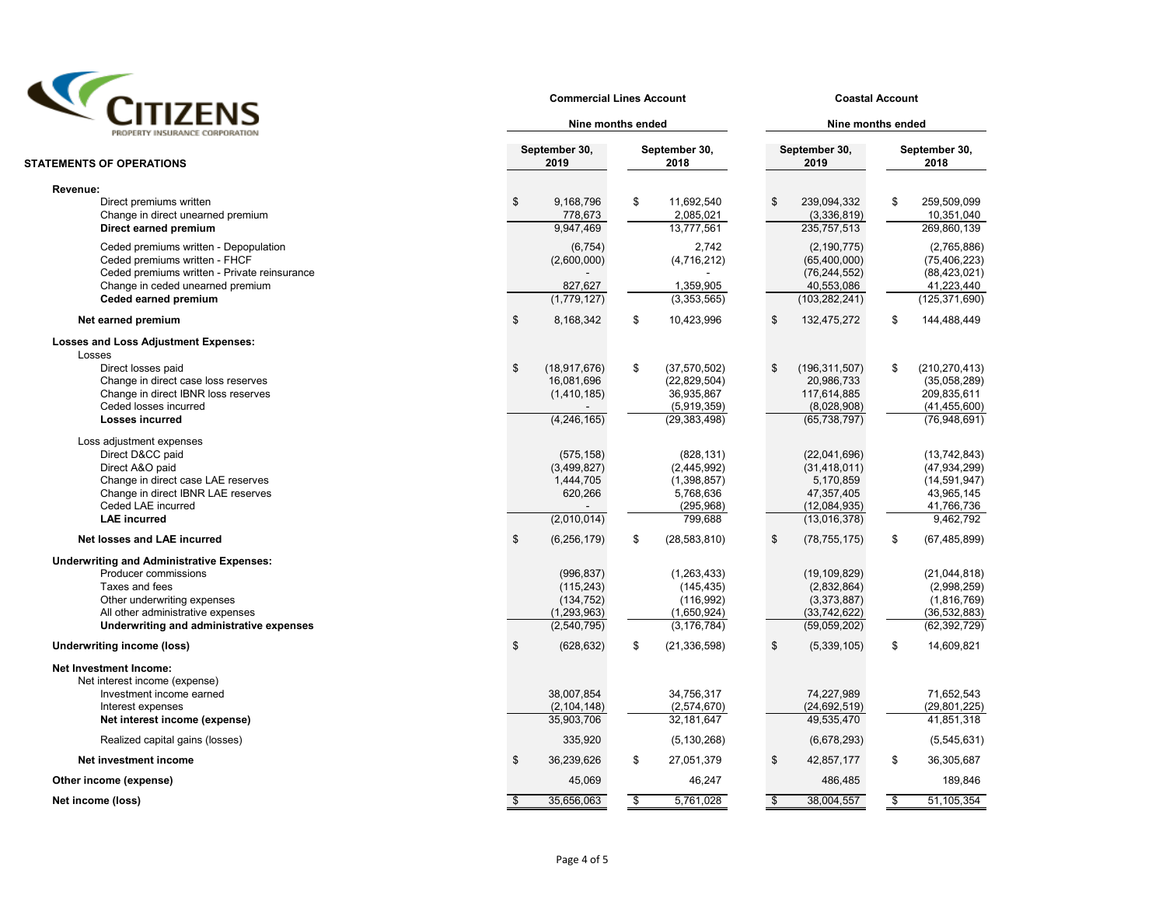

#### **Commercial Lines Account Coastal Account**

| ╹╹╹┻┺╹<br>PROPERTY INSURANCE CORPORATION                                                                                                                                                                   | Nine months ended                                                      |    | Nine months ended                                                             |    |                                                                                           |                       |                                                                                             |  |  |  |
|------------------------------------------------------------------------------------------------------------------------------------------------------------------------------------------------------------|------------------------------------------------------------------------|----|-------------------------------------------------------------------------------|----|-------------------------------------------------------------------------------------------|-----------------------|---------------------------------------------------------------------------------------------|--|--|--|
| <b>STATEMENTS OF OPERATIONS</b>                                                                                                                                                                            | September 30,<br>2019                                                  |    | September 30,<br>2018                                                         |    | September 30,<br>2019                                                                     | September 30,<br>2018 |                                                                                             |  |  |  |
| Revenue:                                                                                                                                                                                                   |                                                                        |    |                                                                               |    |                                                                                           |                       |                                                                                             |  |  |  |
| Direct premiums written<br>Change in direct unearned premium<br>Direct earned premium                                                                                                                      | \$<br>9,168,796<br>778,673<br>9,947,469                                | \$ | 11,692,540<br>2,085,021<br>13,777,561                                         | \$ | 239,094,332<br>(3,336,819)<br>235,757,513                                                 | \$                    | 259,509,099<br>10,351,040<br>269,860,139                                                    |  |  |  |
| Ceded premiums written - Depopulation<br>Ceded premiums written - FHCF<br>Ceded premiums written - Private reinsurance<br>Change in ceded unearned premium                                                 | (6, 754)<br>(2,600,000)<br>827,627                                     |    | 2,742<br>(4,716,212)<br>1,359,905                                             |    | (2, 190, 775)<br>(65,400,000)<br>(76, 244, 552)<br>40,553,086                             |                       | (2,765,886)<br>(75, 406, 223)<br>(88, 423, 021)<br>41,223,440                               |  |  |  |
| Ceded earned premium                                                                                                                                                                                       | (1,779,127)                                                            |    | (3,353,565)                                                                   |    | (103, 282, 241)                                                                           |                       | (125, 371, 690)                                                                             |  |  |  |
| Net earned premium                                                                                                                                                                                         | \$<br>8,168,342                                                        | \$ | 10,423,996                                                                    | \$ | 132,475,272                                                                               | \$                    | 144,488,449                                                                                 |  |  |  |
| <b>Losses and Loss Adjustment Expenses:</b><br>Losses                                                                                                                                                      |                                                                        |    |                                                                               |    |                                                                                           |                       |                                                                                             |  |  |  |
| Direct losses paid<br>Change in direct case loss reserves<br>Change in direct IBNR loss reserves<br>Ceded losses incurred<br><b>Losses incurred</b>                                                        | \$<br>(18, 917, 676)<br>16,081,696<br>(1,410,185)<br>(4, 246, 165)     | \$ | (37,570,502)<br>(22, 829, 504)<br>36,935,867<br>(5,919,359)<br>(29, 383, 498) | \$ | (196, 311, 507)<br>20,986,733<br>117,614,885<br>(8,028,908)<br>(65, 738, 797)             | \$                    | (210, 270, 413)<br>(35,058,289)<br>209,835,611<br>(41, 455, 600)<br>(76,948,691)            |  |  |  |
| Loss adjustment expenses<br>Direct D&CC paid<br>Direct A&O paid<br>Change in direct case LAE reserves<br>Change in direct IBNR LAE reserves<br>Ceded LAE incurred<br><b>LAE</b> incurred                   | (575, 158)<br>(3,499,827)<br>1,444,705<br>620,266<br>(2,010,014)       |    | (828, 131)<br>(2,445,992)<br>(1,398,857)<br>5,768,636<br>(295,968)<br>799.688 |    | (22.041.696)<br>(31, 418, 011)<br>5,170,859<br>47,357,405<br>(12,084,935)<br>(13,016,378) |                       | (13, 742, 843)<br>(47, 934, 299)<br>(14, 591, 947)<br>43,965,145<br>41,766,736<br>9,462,792 |  |  |  |
| Net losses and LAE incurred                                                                                                                                                                                | \$<br>(6, 256, 179)                                                    | \$ | (28, 583, 810)                                                                | \$ | (78, 755, 175)                                                                            | \$                    | (67, 485, 899)                                                                              |  |  |  |
| <b>Underwriting and Administrative Expenses:</b><br>Producer commissions<br>Taxes and fees<br>Other underwriting expenses<br>All other administrative expenses<br>Underwriting and administrative expenses | (996, 837)<br>(115, 243)<br>(134, 752)<br>(1, 293, 963)<br>(2,540,795) |    | (1, 263, 433)<br>(145, 435)<br>(116, 992)<br>(1,650,924)<br>(3, 176, 784)     |    | (19, 109, 829)<br>(2,832,864)<br>(3,373,887)<br>(33, 742, 622)<br>(59,059,202)            |                       | (21,044,818)<br>(2,998,259)<br>(1,816,769)<br>(36, 532, 883)<br>(62, 392, 729)              |  |  |  |
| <b>Underwriting income (loss)</b>                                                                                                                                                                          | \$<br>(628, 632)                                                       | \$ | (21, 336, 598)                                                                | \$ | (5,339,105)                                                                               | \$                    | 14,609,821                                                                                  |  |  |  |
| <b>Net Investment Income:</b><br>Net interest income (expense)<br>Investment income earned<br>Interest expenses<br>Net interest income (expense)                                                           | 38.007.854<br>(2, 104, 148)<br>35,903,706                              |    | 34.756.317<br>(2,574,670)<br>32,181,647                                       |    | 74.227.989<br>(24, 692, 519)<br>49,535,470                                                |                       | 71.652.543<br>(29, 801, 225)<br>41,851,318                                                  |  |  |  |
| Realized capital gains (losses)                                                                                                                                                                            | 335,920                                                                |    | (5, 130, 268)                                                                 |    | (6,678,293)                                                                               |                       | (5,545,631)                                                                                 |  |  |  |
| Net investment income                                                                                                                                                                                      | \$<br>36,239,626                                                       | \$ | 27,051,379                                                                    | \$ | 42,857,177                                                                                | \$                    | 36,305,687                                                                                  |  |  |  |
| Other income (expense)                                                                                                                                                                                     | 45,069                                                                 |    | 46,247                                                                        |    | 486,485                                                                                   |                       | 189,846                                                                                     |  |  |  |
| Net income (loss)                                                                                                                                                                                          | \$<br>35,656,063                                                       | \$ | 5,761,028                                                                     | \$ | 38,004,557                                                                                | \$                    | 51,105,354                                                                                  |  |  |  |